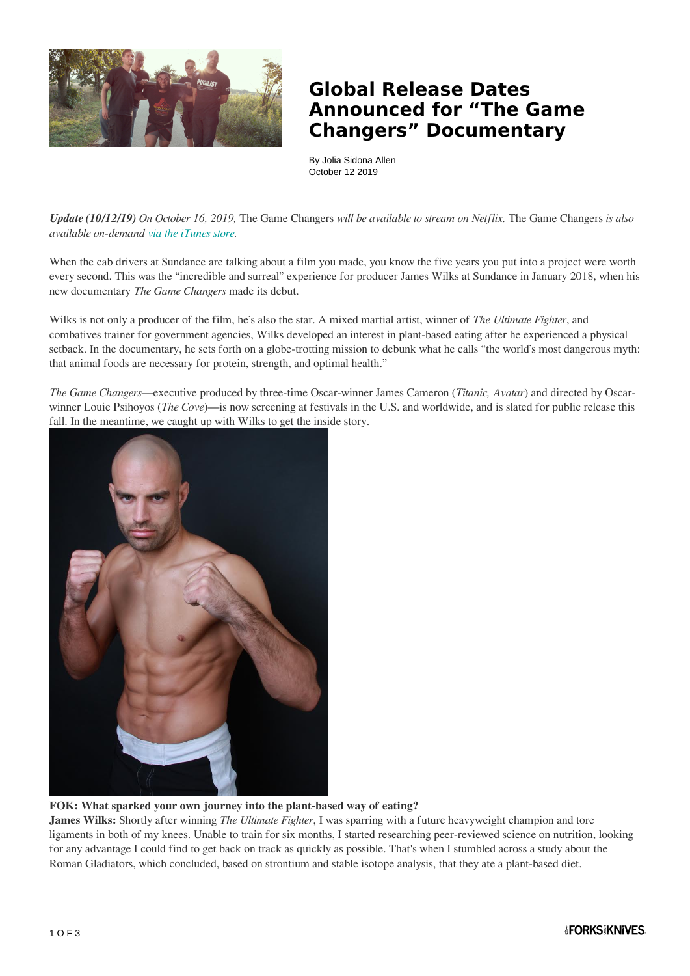

## **Global Release Dates Announced for "The Game Changers" Documentary**

By Jolia Sidona Allen October 12 2019

*Update (10/12/19) On October 16, 2019,* The Game Changers *will be available to stream on Netflix.* The Game Changers *is also available on-demand [via the iTunes store](https://itunes.apple.com/us/movie/the-game-changers/id1478966396).* 

When the cab drivers at Sundance are talking about a film you made, you know the five years you put into a project were worth every second. This was the "incredible and surreal" experience for producer James Wilks at Sundance in January 2018, when his new documentary *The Game Changers* made its debut.

Wilks is not only a producer of the film, he's also the star. A mixed martial artist, winner of *The Ultimate Fighter*, and combatives trainer for government agencies, Wilks developed an interest in plant-based eating after he experienced a physical setback. In the documentary, he sets forth on a globe-trotting mission to debunk what he calls "the world's most dangerous myth: that animal foods are necessary for protein, strength, and optimal health."

*The Game Changers*—executive produced by three-time Oscar-winner James Cameron (*Titanic, Avatar*) and directed by Oscarwinner Louie Psihoyos (*The Cove*)—is now screening at festivals in the U.S. and worldwide, and is slated for public release this fall. In the meantime, we caught up with Wilks to get the inside story.



**FOK: What sparked your own journey into the plant-based way of eating?**

**James Wilks:** Shortly after winning *The Ultimate Fighter*, I was sparring with a future heavyweight champion and tore ligaments in both of my knees. Unable to train for six months, I started researching peer-reviewed science on nutrition, looking for any advantage I could find to get back on track as quickly as possible. That's when I stumbled across a study about the Roman Gladiators, which concluded, based on strontium and stable isotope analysis, that they ate a plant-based diet.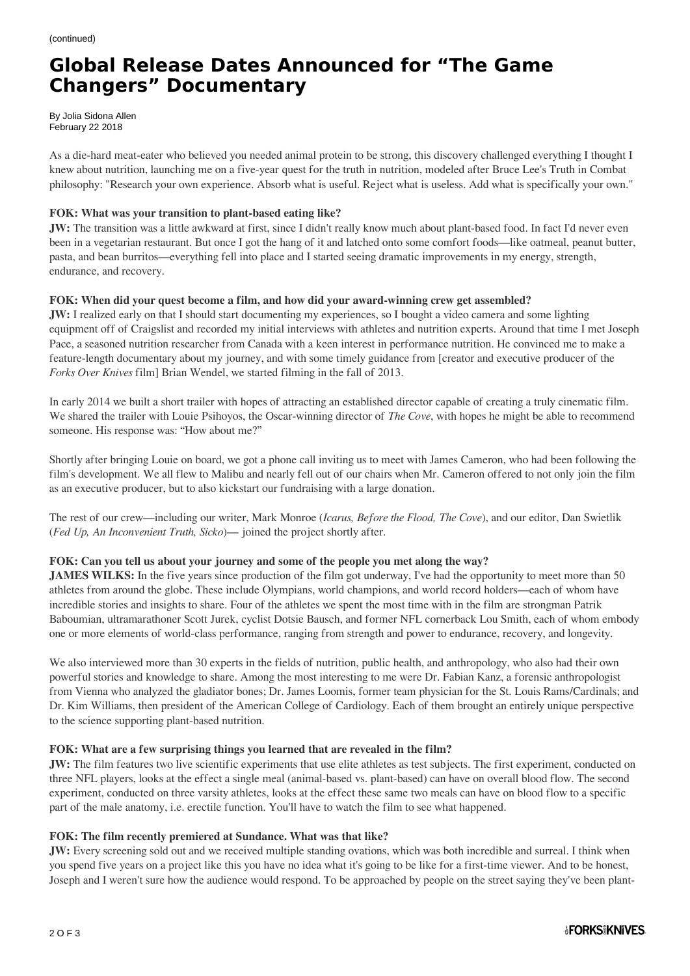# **Global Release Dates Announced for "The Game Changers" Documentary**

By Jolia Sidona Allen February 22 2018

As a die-hard meat-eater who believed you needed animal protein to be strong, this discovery challenged everything I thought I knew about nutrition, launching me on a five-year quest for the truth in nutrition, modeled after Bruce Lee's Truth in Combat philosophy: "Research your own experience. Absorb what is useful. Reject what is useless. Add what is specifically your own."

### **FOK: What was your transition to plant-based eating like?**

**JW:** The transition was a little awkward at first, since I didn't really know much about plant-based food. In fact I'd never even been in a vegetarian restaurant. But once I got the hang of it and latched onto some comfort foods—like oatmeal, peanut butter, pasta, and bean burritos—everything fell into place and I started seeing dramatic improvements in my energy, strength, endurance, and recovery.

### **FOK: When did your quest become a film, and how did your award-winning crew get assembled?**

**JW:** I realized early on that I should start documenting my experiences, so I bought a video camera and some lighting equipment off of Craigslist and recorded my initial interviews with athletes and nutrition experts. Around that time I met Joseph Pace, a seasoned nutrition researcher from Canada with a keen interest in performance nutrition. He convinced me to make a feature-length documentary about my journey, and with some timely guidance from [creator and executive producer of the *Forks Over Knives* film] Brian Wendel, we started filming in the fall of 2013.

In early 2014 we built a short trailer with hopes of attracting an established director capable of creating a truly cinematic film. We shared the trailer with Louie Psihoyos, the Oscar-winning director of *The Cove*, with hopes he might be able to recommend someone. His response was: "How about me?"

Shortly after bringing Louie on board, we got a phone call inviting us to meet with James Cameron, who had been following the film's development. We all flew to Malibu and nearly fell out of our chairs when Mr. Cameron offered to not only join the film as an executive producer, but to also kickstart our fundraising with a large donation.

The rest of our crew—including our writer, Mark Monroe (*Icarus, Before the Flood, The Cove*), and our editor, Dan Swietlik (*Fed Up, An Inconvenient Truth, Sicko*)— joined the project shortly after.

#### **FOK: Can you tell us about your journey and some of the people you met along the way?**

**JAMES WILKS:** In the five years since production of the film got underway, I've had the opportunity to meet more than 50 athletes from around the globe. These include Olympians, world champions, and world record holders—each of whom have incredible stories and insights to share. Four of the athletes we spent the most time with in the film are strongman Patrik Baboumian, ultramarathoner Scott Jurek, cyclist Dotsie Bausch, and former NFL cornerback Lou Smith, each of whom embody one or more elements of world-class performance, ranging from strength and power to endurance, recovery, and longevity.

We also interviewed more than 30 experts in the fields of nutrition, public health, and anthropology, who also had their own powerful stories and knowledge to share. Among the most interesting to me were Dr. Fabian Kanz, a forensic anthropologist from Vienna who analyzed the gladiator bones; Dr. James Loomis, former team physician for the St. Louis Rams/Cardinals; and Dr. Kim Williams, then president of the American College of Cardiology. Each of them brought an entirely unique perspective to the science supporting plant-based nutrition.

#### **FOK: What are a few surprising things you learned that are revealed in the film?**

**JW:** The film features two live scientific experiments that use elite athletes as test subjects. The first experiment, conducted on three NFL players, looks at the effect a single meal (animal-based vs. plant-based) can have on overall blood flow. The second experiment, conducted on three varsity athletes, looks at the effect these same two meals can have on blood flow to a specific part of the male anatomy, i.e. erectile function. You'll have to watch the film to see what happened.

#### **FOK: The film recently premiered at Sundance. What was that like?**

**JW:** Every screening sold out and we received multiple standing ovations, which was both incredible and surreal. I think when you spend five years on a project like this you have no idea what it's going to be like for a first-time viewer. And to be honest, Joseph and I weren't sure how the audience would respond. To be approached by people on the street saying they've been plant-